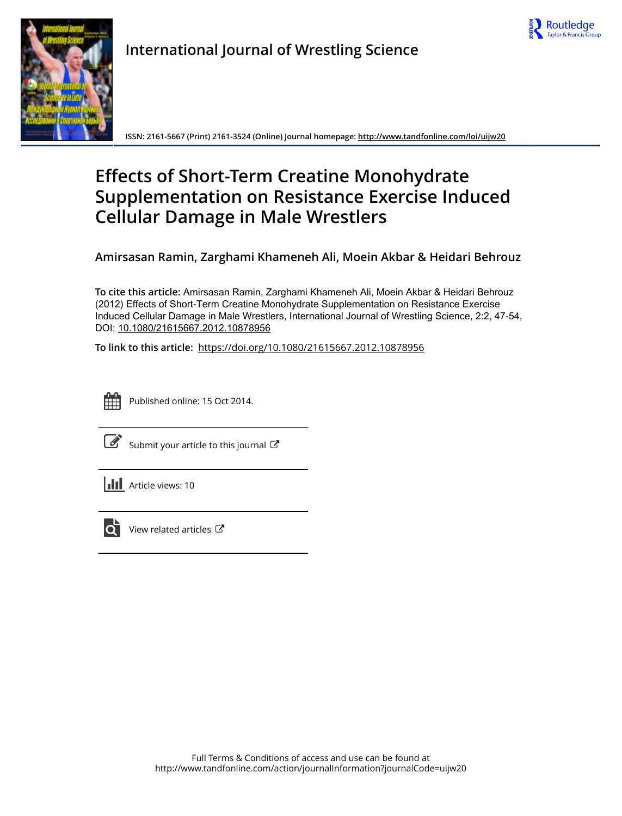



**International Journal of Wrestling Science**

**ISSN: 2161-5667 (Print) 2161-3524 (Online) Journal homepage:<http://www.tandfonline.com/loi/uijw20>**

# **Effects of Short-Term Creatine Monohydrate Supplementation on Resistance Exercise Induced Cellular Damage in Male Wrestlers**

**Amirsasan Ramin, Zarghami Khameneh Ali, Moein Akbar & Heidari Behrouz**

**To cite this article:** Amirsasan Ramin, Zarghami Khameneh Ali, Moein Akbar & Heidari Behrouz (2012) Effects of Short-Term Creatine Monohydrate Supplementation on Resistance Exercise Induced Cellular Damage in Male Wrestlers, International Journal of Wrestling Science, 2:2, 47-54, DOI: [10.1080/21615667.2012.10878956](http://www.tandfonline.com/action/showCitFormats?doi=10.1080/21615667.2012.10878956)

**To link to this article:** <https://doi.org/10.1080/21615667.2012.10878956>



Published online: 15 Oct 2014.

[Submit your article to this journal](http://www.tandfonline.com/action/authorSubmission?journalCode=uijw20&show=instructions)  $\mathbb{Z}$ 

**III** Article views: 10



 $\overrightarrow{Q}$  [View related articles](http://www.tandfonline.com/doi/mlt/10.1080/21615667.2012.10878956)  $\overrightarrow{C}$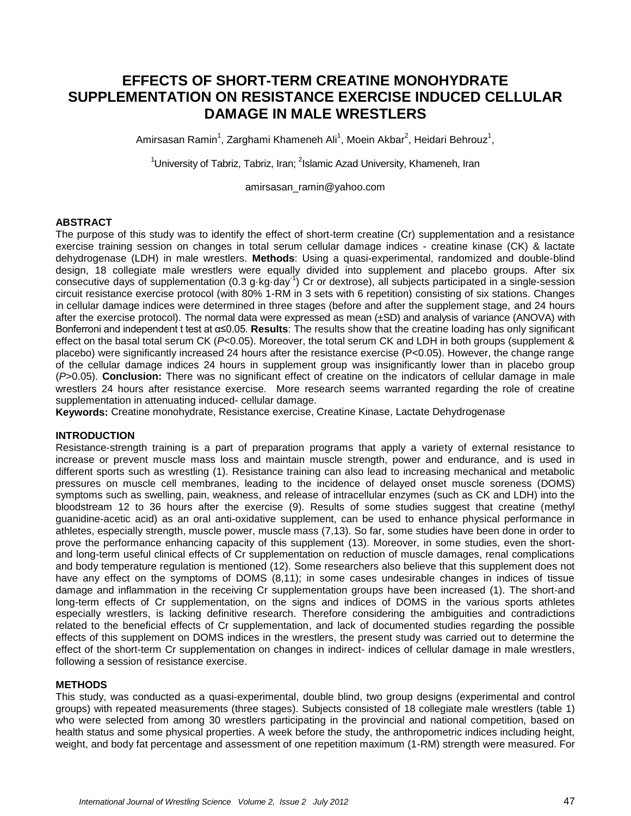# **EFFECTS OF SHORT-TERM CREATINE MONOHYDRATE SUPPLEMENTATION ON RESISTANCE EXERCISE INDUCED CELLULAR DAMAGE IN MALE WRESTLERS**

Amirsasan Ramin<sup>1</sup>, Zarghami Khameneh Ali<sup>1</sup>, Moein Akbar<sup>2</sup>, Heidari Behrouz<sup>1</sup>,

<sup>1</sup>University of Tabriz, Tabriz, Iran; <sup>2</sup>Islamic Azad University, Khameneh, Iran

[amirsasan\\_ramin@yahoo.com](mailto:amirsasan_ramin@yahoo.com)

#### **ABSTRACT**

The purpose of this study was to identify the effect of short-term creatine (Cr) supplementation and a resistance exercise training session on changes in total serum cellular damage indices - creatine kinase (CK) & lactate dehydrogenase (LDH) in male wrestlers. **Methods**: Using a quasi-experimental, randomized and double-blind design, 18 collegiate male wrestlers were equally divided into supplement and placebo groups. After six consecutive days of supplementation (0.3 g·kg·day<sup>-1</sup>) Cr or dextrose), all subjects participated in a single-session circuit resistance exercise protocol (with 80% 1-RM in 3 sets with 6 repetition) consisting of six stations. Changes in cellular damage indices were determined in three stages (before and after the supplement stage, and 24 hours after the exercise protocol). The normal data were expressed as mean (±SD) and analysis of variance (ANOVA) with Bonferroni and independent t test at α≤0.05. **Results**: The results show that the creatine loading has only significant effect on the basal total serum CK (*P*<0.05). Moreover, the total serum CK and LDH in both groups (supplement & placebo) were significantly increased 24 hours after the resistance exercise (P<0.05). However, the change range of the cellular damage indices 24 hours in supplement group was insignificantly lower than in placebo group (*P*>0.05). **Conclusion:** There was no significant effect of creatine on the indicators of cellular damage in male wrestlers 24 hours after resistance exercise. More research seems warranted regarding the role of creatine supplementation in attenuating induced- cellular damage.

**Keywords:** Creatine monohydrate, Resistance exercise, Creatine Kinase, Lactate Dehydrogenase

#### **INTRODUCTION**

Resistance-strength training is a part of preparation programs that apply a variety of external resistance to increase or prevent muscle mass loss and maintain muscle strength, power and endurance, and is used in different sports such as wrestling (1). Resistance training can also lead to increasing mechanical and metabolic pressures on muscle cell membranes, leading to the incidence of delayed onset muscle soreness (DOMS) symptoms such as swelling, pain, weakness, and release of intracellular enzymes (such as CK and LDH) into the bloodstream 12 to 36 hours after the exercise (9). Results of some studies suggest that creatine (methyl guanidine-acetic acid) as an oral anti-oxidative supplement, can be used to enhance physical performance in athletes, especially strength, muscle power, muscle mass (7,13). So far, some studies have been done in order to prove the performance enhancing capacity of this supplement (13). Moreover, in some studies, even the shortand long-term useful clinical effects of Cr supplementation on reduction of muscle damages, renal complications and body temperature regulation is mentioned (12). Some researchers also believe that this supplement does not have any effect on the symptoms of DOMS (8,11); in some cases undesirable changes in indices of tissue damage and inflammation in the receiving Cr supplementation groups have been increased (1). The short-and long-term effects of Cr supplementation, on the signs and indices of DOMS in the various sports athletes especially wrestlers, is lacking definitive research. Therefore considering the ambiguities and contradictions related to the beneficial effects of Cr supplementation, and lack of documented studies regarding the possible effects of this supplement on DOMS indices in the wrestlers, the present study was carried out to determine the effect of the short-term Cr supplementation on changes in indirect- indices of cellular damage in male wrestlers, following a session of resistance exercise.

#### **METHODS**

This study, was conducted as a quasi-experimental, double blind, two group designs (experimental and control groups) with repeated measurements (three stages). Subjects consisted of 18 collegiate male wrestlers (table 1) who were selected from among 30 wrestlers participating in the provincial and national competition, based on health status and some physical properties. A week before the study, the anthropometric indices including height, weight, and body fat percentage and assessment of one repetition maximum (1-RM) strength were measured. For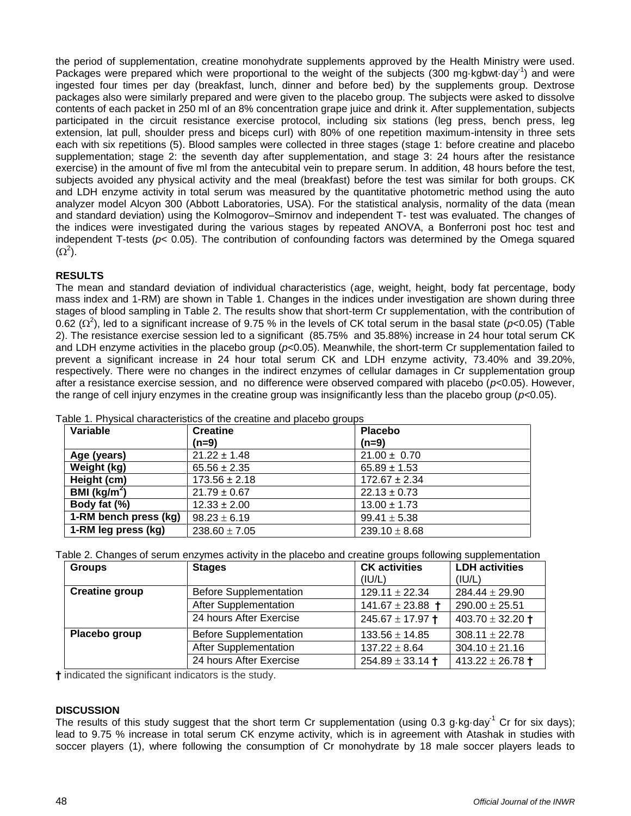the period of supplementation, creatine monohydrate supplements approved by the Health Ministry were used. Packages were prepared which were proportional to the weight of the subjects (300 mg kgbwt day<sup>-1</sup>) and were ingested four times per day (breakfast, lunch, dinner and before bed) by the supplements group. Dextrose packages also were similarly prepared and were given to the placebo group. The subjects were asked to dissolve contents of each packet in 250 ml of an 8% concentration grape juice and drink it. After supplementation, subjects participated in the circuit resistance exercise protocol, including six stations (leg press, bench press, leg extension, lat pull, shoulder press and biceps curl) with 80% of one repetition maximum-intensity in three sets each with six repetitions (5). Blood samples were collected in three stages (stage 1: before creatine and placebo supplementation; stage 2: the seventh day after supplementation, and stage 3: 24 hours after the resistance exercise) in the amount of five ml from the antecubital vein to prepare serum. In addition, 48 hours before the test, subjects avoided any physical activity and the meal (breakfast) before the test was similar for both groups. CK and LDH enzyme activity in total serum was measured by the quantitative photometric method using the auto analyzer model Alcyon 300 (Abbott Laboratories, USA). For the statistical analysis, normality of the data (mean and standard deviation) using the Kolmogorov–Smirnov and independent T- test was evaluated. The changes of the indices were investigated during the various stages by repeated ANOVA, a Bonferroni post hoc test and independent T-tests (*p*< 0.05). The contribution of confounding factors was determined by the Omega squared  $(\Omega^2)$ .

## **RESULTS**

The mean and standard deviation of individual characteristics (age, weight, height, body fat percentage, body mass index and 1-RM) are shown in Table 1. Changes in the indices under investigation are shown during three stages of blood sampling in Table 2. The results show that short-term Cr supplementation, with the contribution of 0.62 ( $\Omega^2$ ), led to a significant increase of 9.75 % in the levels of CK total serum in the basal state ( $p$ <0.05) (Table 2). The resistance exercise session led to a significant (85.75% and 35.88%) increase in 24 hour total serum CK and LDH enzyme activities in the placebo group ( $p<0.05$ ). Meanwhile, the short-term Cr supplementation failed to prevent a significant increase in 24 hour total serum CK and LDH enzyme activity, 73.40% and 39.20%, respectively. There were no changes in the indirect enzymes of cellular damages in Cr supplementation group after a resistance exercise session, and no difference were observed compared with placebo (*p*<0.05). However, the range of cell injury enzymes in the creatine group was insignificantly less than the placebo group (*p*<0.05).

| Variable                | <b>Creatine</b>   | <b>Placebo</b>    |
|-------------------------|-------------------|-------------------|
|                         | (n=9)             | $(n=9)$           |
| Age (years)             | $21.22 \pm 1.48$  | $21.00 \pm 0.70$  |
| Weight (kg)             | $65.56 \pm 2.35$  | $65.89 \pm 1.53$  |
| Height (cm)             | $173.56 \pm 2.18$ | $172.67 \pm 2.34$ |
| BMI ( $\text{kg/m}^2$ ) | $21.79 \pm 0.67$  | $22.13 \pm 0.73$  |
| Body fat (%)            | $12.33 \pm 2.00$  | $13.00 \pm 1.73$  |
| 1-RM bench press (kg)   | $98.23 \pm 6.19$  | $99.41 \pm 5.38$  |
| 1-RM leg press (kg)     | $238.60 \pm 7.05$ | $239.10 \pm 8.68$ |

Table 1. Physical characteristics of the creatine and placebo groups

Table 2. Changes of serum enzymes activity in the placebo and creatine groups following supplementation

| <b>Groups</b>         | <b>Stages</b>                 | <b>CK</b> activities | <b>LDH</b> activities        |
|-----------------------|-------------------------------|----------------------|------------------------------|
|                       |                               | (IU/L)               | (IU/L)                       |
| <b>Creatine group</b> | <b>Before Supplementation</b> | $129.11 \pm 22.34$   | $284.44 \pm 29.90$           |
|                       | <b>After Supplementation</b>  | 141.67 ± 23.88 $+$   | $290.00 \pm 25.51$           |
|                       | 24 hours After Exercise       | $245.67 \pm 17.97$ + | 403.70 $\pm$ 32.20 $\dagger$ |
| Placebo group         | <b>Before Supplementation</b> | $133.56 \pm 14.85$   | $308.11 \pm 22.78$           |
|                       | <b>After Supplementation</b>  | $137.22 \pm 8.64$    | $304.10 \pm 21.16$           |
|                       | 24 hours After Exercise       | $254.89 \pm 33.14$ † | 413.22 $\pm$ 26.78 $\dagger$ |

**†** indicated the significant indicators is the study.

#### **DISCUSSION**

The results of this study suggest that the short term Cr supplementation (using 0.3 g·kg·day<sup>-1</sup> Cr for six days); lead to 9.75 % increase in total serum CK enzyme activity, which is in agreement with Atashak in studies with soccer players (1), where following the consumption of Cr monohydrate by 18 male soccer players leads to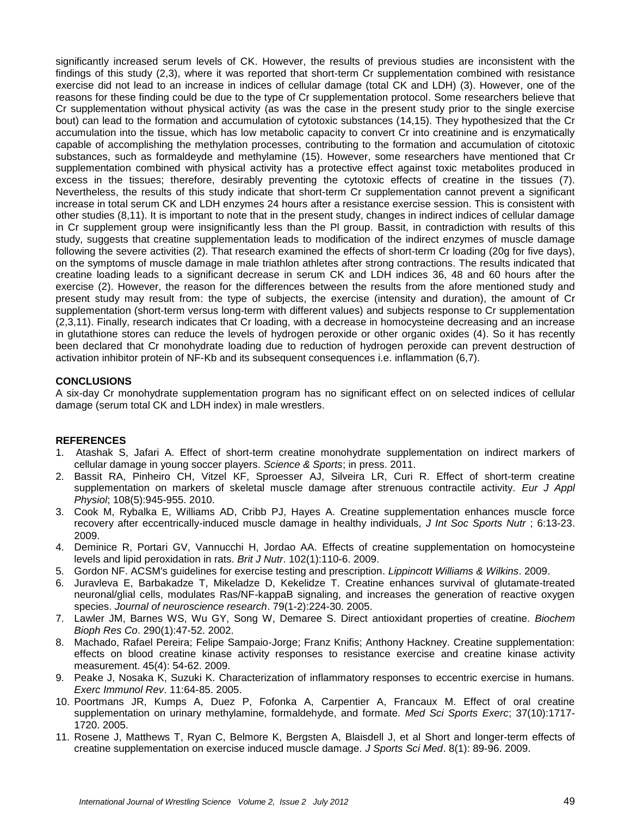significantly increased serum levels of CK. However, the results of previous studies are inconsistent with the findings of this study (2,3), where it was reported that short-term Cr supplementation combined with resistance exercise did not lead to an increase in indices of cellular damage (total CK and LDH) (3). However, one of the reasons for these finding could be due to the type of Cr supplementation protocol. Some researchers believe that Cr supplementation without physical activity (as was the case in the present study prior to the single exercise bout) can lead to the formation and accumulation of cytotoxic substances (14,15). They hypothesized that the Cr accumulation into the tissue, which has low metabolic capacity to convert Cr into creatinine and is enzymatically capable of accomplishing the methylation processes, contributing to the formation and accumulation of citotoxic substances, such as formaldeyde and methylamine (15). However, some researchers have mentioned that Cr supplementation combined with physical activity has a protective effect against toxic metabolites produced in excess in the tissues; therefore, desirably preventing the cytotoxic effects of creatine in the tissues (7). Nevertheless, the results of this study indicate that short-term Cr supplementation cannot prevent a significant increase in total serum CK and LDH enzymes 24 hours after a resistance exercise session. This is consistent with other studies (8,11). It is important to note that in the present study, changes in indirect indices of cellular damage in Cr supplement group were insignificantly less than the Pl group. Bassit, in contradiction with results of this study, suggests that creatine supplementation leads to modification of the indirect enzymes of muscle damage following the severe activities (2). That research examined the effects of short-term Cr loading (20g for five days), on the symptoms of muscle damage in male triathlon athletes after strong contractions. The results indicated that creatine loading leads to a significant decrease in serum CK and LDH indices 36, 48 and 60 hours after the exercise (2). However, the reason for the differences between the results from the afore mentioned study and present study may result from: the type of subjects, the exercise (intensity and duration), the amount of Cr supplementation (short-term versus long-term with different values) and subjects response to Cr supplementation (2,3,11). Finally, research indicates that Cr loading, with a decrease in homocysteine decreasing and an increase in glutathione stores can reduce the levels of hydrogen peroxide or other organic oxides (4). So it has recently been declared that Cr monohydrate loading due to reduction of hydrogen peroxide can prevent destruction of activation inhibitor protein of NF-Kb and its subsequent consequences i.e. inflammation (6,7).

### **CONCLUSIONS**

A six-day Cr monohydrate supplementation program has no significant effect on on selected indices of cellular damage (serum total CK and LDH index) in male wrestlers.

#### **REFERENCES**

- 1. Atashak S, Jafari A. Effect of short-term creatine monohydrate supplementation on indirect markers of cellular damage in young soccer players. *Science & Sports*; in press. 2011.
- 2. Bassit RA, Pinheiro CH, Vitzel KF, Sproesser AJ, Silveira LR, Curi R. Effect of short-term creatine supplementation on markers of skeletal muscle damage after strenuous contractile activity. *Eur J Appl Physiol*; 108(5):945-955. 2010.
- 3. Cook M, Rybalka E, Williams AD, Cribb PJ, Hayes A. Creatine supplementation enhances muscle force recovery after eccentrically-induced muscle damage in healthy individuals, *J Int Soc Sports Nutr* ; 6:13-23. 2009.
- 4. Deminice R, Portari GV, Vannucchi H, Jordao AA. Effects of creatine supplementation on homocysteine levels and lipid peroxidation in rats. *Brit J Nutr*. 102(1):110-6. 2009.
- 5. Gordon NF. ACSM's guidelines for exercise testing and prescription. *Lippincott Williams & Wilkins*. 2009.
- 6. Juravleva E, Barbakadze T, Mikeladze D, Kekelidze T. Creatine enhances survival of glutamate-treated neuronal/glial cells, modulates Ras/NF-kappaB signaling, and increases the generation of reactive oxygen species. *Journal of neuroscience research*. 79(1-2):224-30. 2005.
- 7. Lawler JM, Barnes WS, Wu GY, Song W, Demaree S. Direct antioxidant properties of creatine. *Biochem Bioph Res Co*. 290(1):47-52. 2002.
- 8. Machado, Rafael Pereira; Felipe Sampaio-Jorge; Franz Knifis; Anthony Hackney. Creatine supplementation: effects on blood creatine kinase activity responses to resistance exercise and creatine kinase activity measurement. 45(4): 54-62. 2009.
- 9. Peake J, Nosaka K, Suzuki K. Characterization of inflammatory responses to eccentric exercise in humans. *Exerc Immunol Rev*. 11:64-85. 2005.
- 10. Poortmans JR, Kumps A, Duez P, Fofonka A, Carpentier A, Francaux M. Effect of oral creatine supplementation on urinary methylamine, formaldehyde, and formate. *Med Sci Sports Exerc*; 37(10):1717- 1720. 2005.
- 11. Rosene J, Matthews T, Ryan C, Belmore K, Bergsten A, Blaisdell J, et al Short and longer-term effects of creatine supplementation on exercise induced muscle damage. *J Sports Sci Med*. 8(1): 89-96. 2009.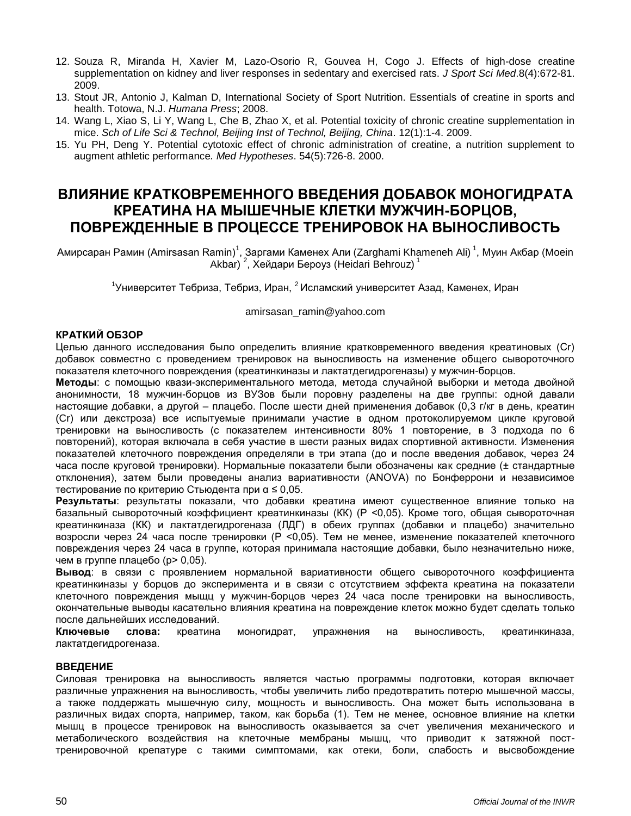- 12. Souza R, Miranda H, Xavier M, Lazo-Osorio R, Gouvea H, Cogo J. Effects of high-dose creatine supplementation on kidney and liver responses in sedentary and exercised rats. *J Sport Sci Med*.8(4):672-81. 2009.
- 13. Stout JR, Antonio J, Kalman D, International Society of Sport Nutrition. Essentials of creatine in sports and health. Totowa, N.J. *Humana Press*; 2008.
- 14. Wang L, Xiao S, Li Y, Wang L, Che B, Zhao X, et al. Potential toxicity of chronic creatine supplementation in mice. *Sch of Life Sci & Technol, Beijing Inst of Technol, Beijing, China*. 12(1):1-4. 2009.
- 15. Yu PH, Deng Y. Potential cytotoxic effect of chronic administration of creatine, a nutrition supplement to augment athletic performance*. Med Hypotheses*. 54(5):726-8. 2000.

# **ВЛИЯНИЕ КРАТКОВРЕМЕННОГО ВВЕДЕНИЯ ДОБАВОК МОНОГИДРАТА КРЕАТИНА НА МЫШЕЧНЫЕ КЛЕТКИ МУЖЧИН-БОРЦОВ, ПОВРЕЖДЕННЫЕ В ПРОЦЕССЕ ТРЕНИРОВОК НА ВЫНОСЛИВОСТЬ**

Амирсаран Рамин (Amirsasan Ramin)<sup>1</sup>, Заргами Каменех Али (Zarghami Khameneh Ali)<sup>1</sup>, Муин Акбар (Moein Akbar) <sup>2</sup>, Хейдари Бероуз (Heidari Behrouz) <sup>1</sup>

<sup>1</sup>Университет Тебриза, Тебриз, Иран, <sup>2</sup> Исламский университет Азад, Каменех, Иран

[amirsasan\\_ramin@yahoo.com](mailto:amirsasan_ramin@yahoo.com)

### **КРАТКИЙ ОБЗОР**

Целью данного исследования было определить влияние кратковременного введения креатиновых (Cr) добавок совместно с проведением тренировок на выносливость на изменение общего сывороточного показателя клеточного повреждения (креатинкиназы и лактатдегидрогеназы) у мужчин-борцов.

**Методы**: с помощью квази-экспериментального метода, метода случайной выборки и метода двойной анонимности, 18 мужчин-борцов из ВУЗов были поровну разделены на две группы: одной давали настоящие добавки, а другой – плацебо. После шести дней применения добавок (0,3 г/кг в день, креатин (Cr) или декстроза) все испытуемые принимали участие в одном протоколируемом цикле круговой тренировки на выносливость (с показателем интенсивности 80% 1 повторение, в 3 подхода по 6 повторений), которая включала в себя участие в шести разных видах спортивной активности. Изменения показателей клеточного повреждения определяли в три этапа (до и после введения добавок, через 24 часа после круговой тренировки). Нормальные показатели были обозначены как средние (± стандартные отклонения), затем были проведены анализ вариативности (ANOVA) по Бонферрони и независимое тестирование по критерию Стьюдента при α ≤ 0,05.

**Результаты**: результаты показали, что добавки креатина имеют существенное влияние только на базальный сывороточный коэффициент креатинкиназы (КК) (P <0,05). Кроме того, общая сывороточная креатинкиназа (КК) и лактатдегидрогеназа (ЛДГ) в обеих группах (добавки и плацебо) значительно возросли через 24 часа после тренировки (P <0,05). Тем не менее, изменение показателей клеточного повреждения через 24 часа в группе, которая принимала настоящие добавки, было незначительно ниже, чем в группе плацебо (p> 0,05).

**Вывод**: в связи с проявлением нормальной вариативности общего сывороточного коэффициента креатинкиназы у борцов до эксперимента и в связи с отсутствием эффекта креатина на показатели клеточного повреждения мыщц у мужчин-борцов через 24 часа после тренировки на выносливость, окончательные выводы касательно влияния креатина на повреждение клеток можно будет сделать только после дальнейших исследований.

**Ключевые слова:** креатина моногидрат, упражнения на выносливость, креатинкиназа, лактатдегидрогеназа.

#### **ВВЕДЕНИЕ**

Силовая тренировка на выносливость является частью программы подготовки, которая включает различные упражнения на выносливость, чтобы увеличить либо предотвратить потерю мышечной массы, а также поддержать мышечную силу, мощность и выносливость. Она может быть использована в различных видах спорта, например, таком, как борьба (1). Тем не менее, основное влияние на клетки мышц в процессе тренировок на выносливость оказывается за счет увеличения механического и метаболического воздействия на клеточные мембраны мышц, что приводит к затяжной посттренировочной крепатуре с такими симптомами, как отеки, боли, слабость и высвобождение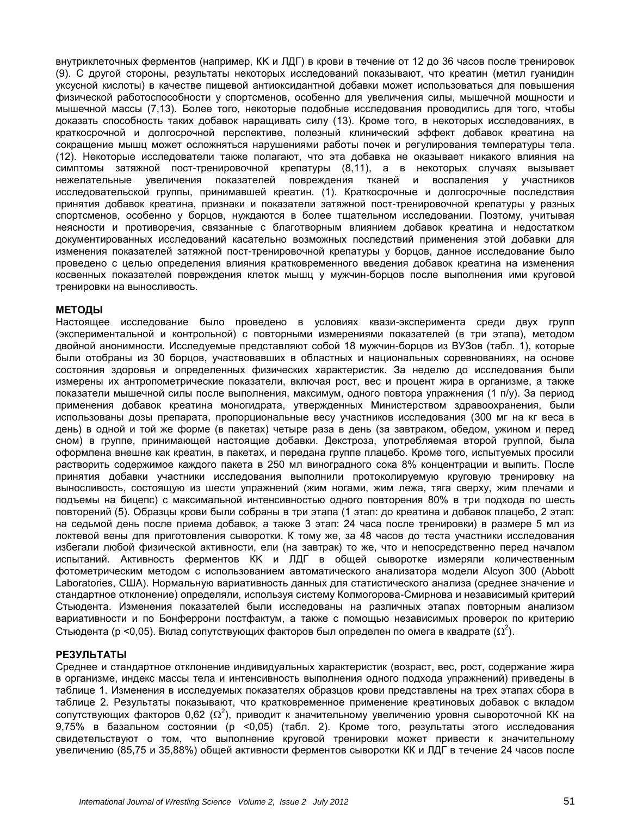внутриклеточных ферментов (например, КK и ЛДГ) в крови в течение от 12 до 36 часов после тренировок (9). С другой стороны, результаты некоторых исследований показывают, что креатин (метил гуанидин уксусной кислоты) в качестве пищевой антиоксидантной добавки может использоваться для повышения физической работоспособности у спортсменов, особенно для увеличения силы, мышечной мощности и мышечной массы (7,13). Более того, некоторые подобные исследования проводились для того, чтобы доказать способность таких добавок наращивать силу (13). Кроме того, в некоторых исследованиях, в краткосрочной и долгосрочной перспективе, полезный клинический эффект добавок креатина на сокращение мышц может осложняться нарушениями работы почек и регулирования температуры тела. (12). Некоторые исследователи также полагают, что эта добавка не оказывает никакого влияния на симптомы затяжной пост-тренировочной крепатуры (8,11), а в некоторых случаях вызывает нежелательные увеличения показателей повреждения тканей и воспаления у участников исследовательской группы, принимавшей креатин. (1). Краткосрочные и долгосрочные последствия принятия добавок креатина, признаки и показатели затяжной пост-тренировочной крепатуры у разных спортсменов, особенно у борцов, нуждаются в более тщательном исследовании. Поэтому, учитывая неясности и противоречия, связанные с благотворным влиянием добавок креатина и недостатком документированных исследований касательно возможных последствий применения этой добавки для изменения показателей затяжной пост-тренировочной крепатуры у борцов, данное исследование было проведено с целью определения влияния кратковременного введения добавок креатина на изменения косвенных показателей повреждения клеток мышц у мужчин-борцов после выполнения ими круговой тренировки на выносливость.

#### **МЕТОДЫ**

Настоящее исследование было проведено в условиях квази-эксперимента среди двух групп (экспериментальной и контрольной) с повторными измерениями показателей (в три этапа), методом двойной анонимности. Исследуемые представляют собой 18 мужчин-борцов из ВУЗов (табл. 1), которые были отобраны из 30 борцов, участвовавших в областных и национальных соревнованиях, на основе состояния здоровья и определенных физических характеристик. За неделю до исследования были измерены их антропометрические показатели, включая рост, вес и процент жира в организме, а также показатели мышечной силы после выполнения, максимум, одного повтора упражнения (1 п/у). За период применения добавок креатина моногидрата, утвержденных Министерством здравоохранения, были использованы дозы препарата, пропорциональные весу участников исследования (300 мг на кг веса в день) в одной и той же форме (в пакетах) четыре раза в день (за завтраком, обедом, ужином и перед сном) в группе, принимающей настоящие добавки. Декстроза, употребляемая второй группой, была оформлена внешне как креатин, в пакетах, и передана группе плацебо. Кроме того, испытуемых просили растворить содержимое каждого пакета в 250 мл виноградного сока 8% концентрации и выпить. После принятия добавки участники исследования выполнили протоколируемую круговую тренировку на выносливость, состоящую из шести упражнений (жим ногами, жим лежа, тяга сверху, жим плечами и подъемы на бицепс) с максимальной интенсивностью одного повторения 80% в три подхода по шесть повторений (5). Образцы крови были собраны в три этапа (1 этап: до креатина и добавок плацебо, 2 этап: на седьмой день после приема добавок, а также 3 этап: 24 часа после тренировки) в размере 5 мл из локтевой вены для приготовления сыворотки. К тому же, за 48 часов до теста участники исследования избегали любой физической активности, ели (на завтрак) то же, что и непосредственно перед началом испытаний. Активность ферментов КK и ЛДГ в общей сыворотке измеряли количественным фотометрическим методом с использованием автоматического анализатора модели Alcyon 300 (Abbott Laboratories, США). Нормальную вариативность данных для статистического анализа (среднее значение и стандартное отклонение) определяли, используя систему Колмогорова-Смирнова и независимый критерий Стьюдента. Изменения показателей были исследованы на различных этапах повторным анализом вариативности и по Бонферрони постфактум, а также с помощью независимых проверок по критерию Стьюдента (р <0,05). Вклад сопутствующих факторов был определен по омега в квадрате ( $\Omega^2$ ).

#### **РЕЗУЛЬТАТЫ**

Среднее и стандартное отклонение индивидуальных характеристик (возраст, вес, рост, содержание жира в организме, индекс массы тела и интенсивность выполнения одного подхода упражнений) приведены в таблице 1. Изменения в исследуемых показателях образцов крови представлены на трех этапах сбора в таблице 2. Результаты показывают, что кратковременное применение креатиновых добавок с вкладом сопутствующих факторов 0,62 ( $\Omega^2$ ), приводит к значительному увеличению уровня сывороточной КК на 9,75% в базальном состоянии (р <0,05) (табл. 2). Кроме того, результаты этого исследования свидетельствуют о том, что выполнение круговой тренировки может привести к значительному увеличению (85,75 и 35,88%) общей активности ферментов сыворотки КК и ЛДГ в течение 24 часов после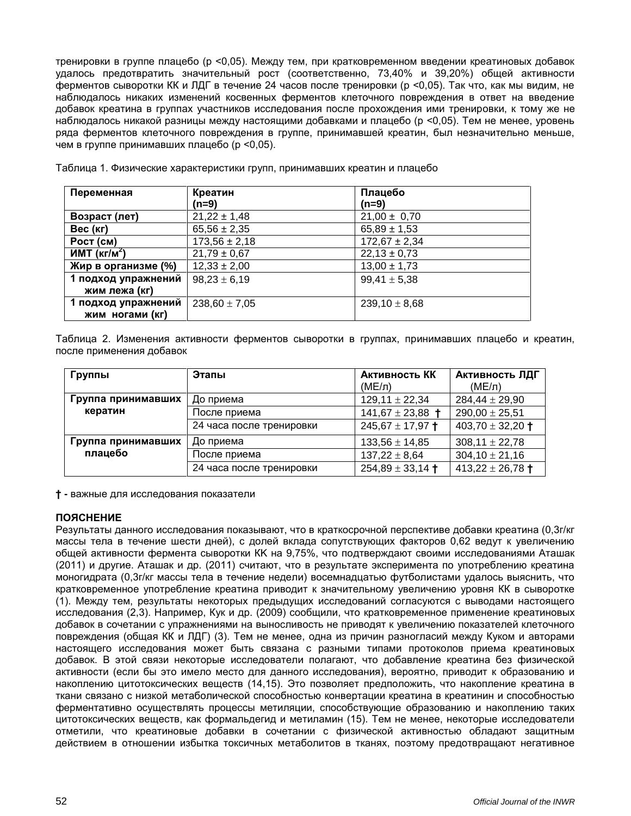тренировки в группе плацебо (р <0,05). Между тем, при кратковременном введении креатиновых добавок удалось предотвратить значительный рост (соответственно, 73,40% и 39,20%) общей активности ферментов сыворотки КК и ЛДГ в течение 24 часов после тренировки (р <0,05). Так что, как мы видим, не наблюдалось никаких изменений косвенных ферментов клеточного повреждения в ответ на введение добавок креатина в группах участников исследования после прохождения ими тренировки, к тому же не наблюдалось никакой разницы между настоящими добавками и плацебо (р <0,05). Тем не менее, уровень ряда ферментов клеточного повреждения в группе, принимавшей креатин, был незначительно меньше, чем в группе принимавших плацебо (р <0,05).

| Переменная               | Креатин           | Плацебо           |
|--------------------------|-------------------|-------------------|
|                          | (n=9)             | $(n=9)$           |
| Возраст (лет)            | $21,22 \pm 1,48$  | $21,00 \pm 0,70$  |
| Вес (кг)                 | $65,56 \pm 2,35$  | $65,89 \pm 1,53$  |
| POCT (CM)                | $173,56 \pm 2,18$ | $172,67 \pm 2,34$ |
| MMT (kT/M <sup>2</sup> ) | $21,79 \pm 0,67$  | $22,13 \pm 0,73$  |
| Жир в организме (%)      | $12,33 \pm 2,00$  | $13,00 \pm 1,73$  |
| 1 подход упражнений      | $98.23 \pm 6.19$  | $99,41 \pm 5,38$  |
| жим лежа (кг)            |                   |                   |
| 1 подход упражнений      | $238,60 \pm 7,05$ | $239,10 \pm 8,68$ |
| жим ногами (кг)          |                   |                   |

Таблица 1. Физические характеристики групп, принимавших креатин и плацебо

Таблица 2. Изменения активности ферментов сыворотки в группах, принимавших плацебо и креатин, после применения добавок

| Группы             | Этапы                    | Активность КК        | <b>Активность ЛДГ</b>        |
|--------------------|--------------------------|----------------------|------------------------------|
|                    |                          | $(ME/\pi)$           | $(ME/\pi)$                   |
| Группа принимавших | До приема                | $129,11 \pm 22,34$   | $284,44 \pm 29,90$           |
| кератин            | После приема             | 141,67 $\pm$ 23,88 + | $290,00 \pm 25,51$           |
|                    | 24 часа после тренировки | $245,67 \pm 17,97$ + | 403,70 $\pm$ 32,20 +         |
| Группа принимавших | До приема                | $133,56 \pm 14,85$   | $308,11 \pm 22,78$           |
| плацебо            | После приема             | $137,22 \pm 8,64$    | $304,10 \pm 21,16$           |
|                    | 24 часа после тренировки | $254,89 \pm 33,14$ + | 413,22 $\pm$ 26,78 $\dagger$ |

**† -** важные для исследования показатели

#### **ПОЯСНЕНИЕ**

Результаты данного исследования показывают, что в краткосрочной перспективе добавки креатина (0,3г/кг массы тела в течение шести дней), с долей вклада сопутствующих факторов 0,62 ведут к увеличению общей активности фермента сыворотки КK на 9,75%, что подтверждают своими исследованиями Аташак (2011) и другие. Аташак и др. (2011) считают, что в результате эксперимента по употреблению креатина моногидрата (0,3г/кг массы тела в течение недели) восемнадцатью футболистами удалось выяснить, что кратковременное употребление креатина приводит к значительному увеличению уровня КК в сыворотке (1). Между тем, результаты некоторых предыдущих исследований согласуются с выводами настоящего исследования (2,3). Например, Кук и др. (2009) сообщили, что кратковременное применение креатиновых добавок в сочетании с упражнениями на выносливость не приводят к увеличению показателей клеточного повреждения (общая КК и ЛДГ) (3). Тем не менее, одна из причин разногласий между Куком и авторами настоящего исследования может быть связана с разными типами протоколов приема креатиновых добавок. В этой связи некоторые исследователи полагают, что добавление креатина без физической активности (если бы это имело место для данного исследования), вероятно, приводит к образованию и накоплению цитотоксических веществ (14,15). Это позволяет предположить, что накопление креатина в ткани связано с низкой метаболической способностью конвертации креатина в креатинин и способностью ферментативно осуществлять процессы метиляции, способствующие образованию и накоплению таких цитотоксических веществ, как формальдегид и метиламин (15). Тем не менее, некоторые исследователи отметили, что креатиновые добавки в сочетании с физической активностью обладают защитным действием в отношении избытка токсичных метаболитов в тканях, поэтому предотвращают негативное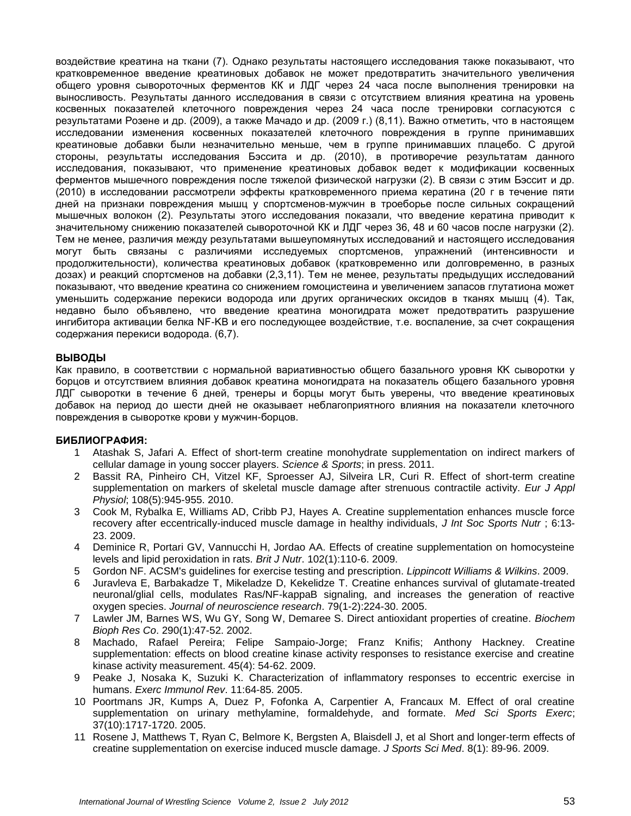воздействие креатина на ткани (7). Однако результаты настоящего исследования также показывают, что кратковременное введение креатиновых добавок не может предотвратить значительного увеличения общего уровня сывороточных ферментов КК и ЛДГ через 24 часа после выполнения тренировки на выносливость. Результаты данного исследования в связи с отсутствием влияния креатина на уровень косвенных показателей клеточного повреждения через 24 часа после тренировки согласуются с результатами Розене и др. (2009), а также Мачадо и др. (2009 г.) (8,11). Важно отметить, что в настоящем исследовании изменения косвенных показателей клеточного повреждения в группе принимавших креатиновые добавки были незначительно меньше, чем в группе принимавших плацебо. С другой стороны, результаты исследования Бэссита и др. (2010), в противоречие результатам данного исследования, показывают, что применение креатиновых добавок ведет к модификации косвенных ферментов мышечного повреждения после тяжелой физической нагрузки (2). В связи с этим Бэссит и др. (2010) в исследовании рассмотрели эффекты кратковременного приема кератина (20 г в течение пяти дней на признаки повреждения мышц у спортсменов-мужчин в троеборье после сильных сокращений мышечных волокон (2). Результаты этого исследования показали, что введение кератина приводит к значительному снижению показателей сывороточной КК и ЛДГ через 36, 48 и 60 часов после нагрузки (2). Тем не менее, различия между результатами вышеупомянутых исследований и настоящего исследования могут быть связаны с различиями исследуемых спортсменов, упражнений (интенсивности и продолжительности), количества креатиновых добавок (кратковременно или долговременно, в разных дозах) и реакций спортсменов на добавки (2,3,11). Тем не менее, результаты предыдущих исследований показывают, что введение креатина со снижением гомоцистеина и увеличением запасов глутатиона может уменьшить содержание перекиси водорода или других органических оксидов в тканях мышц (4). Так, недавно было объявлено, что введение креатина моногидрата может предотвратить разрушение ингибитора активации белка NF-KB и его последующее воздействие, т.е. воспаление, за счет сокращения содержания перекиси водорода. (6,7).

#### **ВЫВОДЫ**

Как правило, в соответствии с нормальной вариативностью общего базального уровня КK сыворотки у борцов и отсутствием влияния добавок креатина моногидрата на показатель общего базального уровня ЛДГ сыворотки в течение 6 дней, тренеры и борцы могут быть уверены, что введение креатиновых добавок на период до шести дней не оказывает неблагоприятного влияния на показатели клеточного повреждения в сыворотке крови у мужчин-борцов.

#### **БИБЛИОГРАФИЯ:**

- 1 Atashak S, Jafari A. Effect of short-term creatine monohydrate supplementation on indirect markers of cellular damage in young soccer players. *Science & Sports*; in press. 2011.
- 2 Bassit RA, Pinheiro CH, Vitzel KF, Sproesser AJ, Silveira LR, Curi R. Effect of short-term creatine supplementation on markers of skeletal muscle damage after strenuous contractile activity. *Eur J Appl Physiol*; 108(5):945-955. 2010.
- 3 Cook M, Rybalka E, Williams AD, Cribb PJ, Hayes A. Creatine supplementation enhances muscle force recovery after eccentrically-induced muscle damage in healthy individuals, *J Int Soc Sports Nutr* ; 6:13- 23. 2009.
- 4 Deminice R, Portari GV, Vannucchi H, Jordao AA. Effects of creatine supplementation on homocysteine levels and lipid peroxidation in rats. *Brit J Nutr*. 102(1):110-6. 2009.
- 5 Gordon NF. ACSM's guidelines for exercise testing and prescription. *Lippincott Williams & Wilkins*. 2009.
- 6 Juravleva E, Barbakadze T, Mikeladze D, Kekelidze T. Creatine enhances survival of glutamate-treated neuronal/glial cells, modulates Ras/NF-kappaB signaling, and increases the generation of reactive oxygen species. *Journal of neuroscience research*. 79(1-2):224-30. 2005.
- 7 Lawler JM, Barnes WS, Wu GY, Song W, Demaree S. Direct antioxidant properties of creatine. *Biochem Bioph Res Co*. 290(1):47-52. 2002.
- 8 Machado, Rafael Pereira; Felipe Sampaio-Jorge; Franz Knifis; Anthony Hackney. Creatine supplementation: effects on blood creatine kinase activity responses to resistance exercise and creatine kinase activity measurement. 45(4): 54-62. 2009.
- 9 Peake J, Nosaka K, Suzuki K. Characterization of inflammatory responses to eccentric exercise in humans. *Exerc Immunol Rev*. 11:64-85. 2005.
- 10 Poortmans JR, Kumps A, Duez P, Fofonka A, Carpentier A, Francaux M. Effect of oral creatine supplementation on urinary methylamine, formaldehyde, and formate. *Med Sci Sports Exerc*; 37(10):1717-1720. 2005.
- 11 Rosene J, Matthews T, Ryan C, Belmore K, Bergsten A, Blaisdell J, et al Short and longer-term effects of creatine supplementation on exercise induced muscle damage. *J Sports Sci Med*. 8(1): 89-96. 2009.